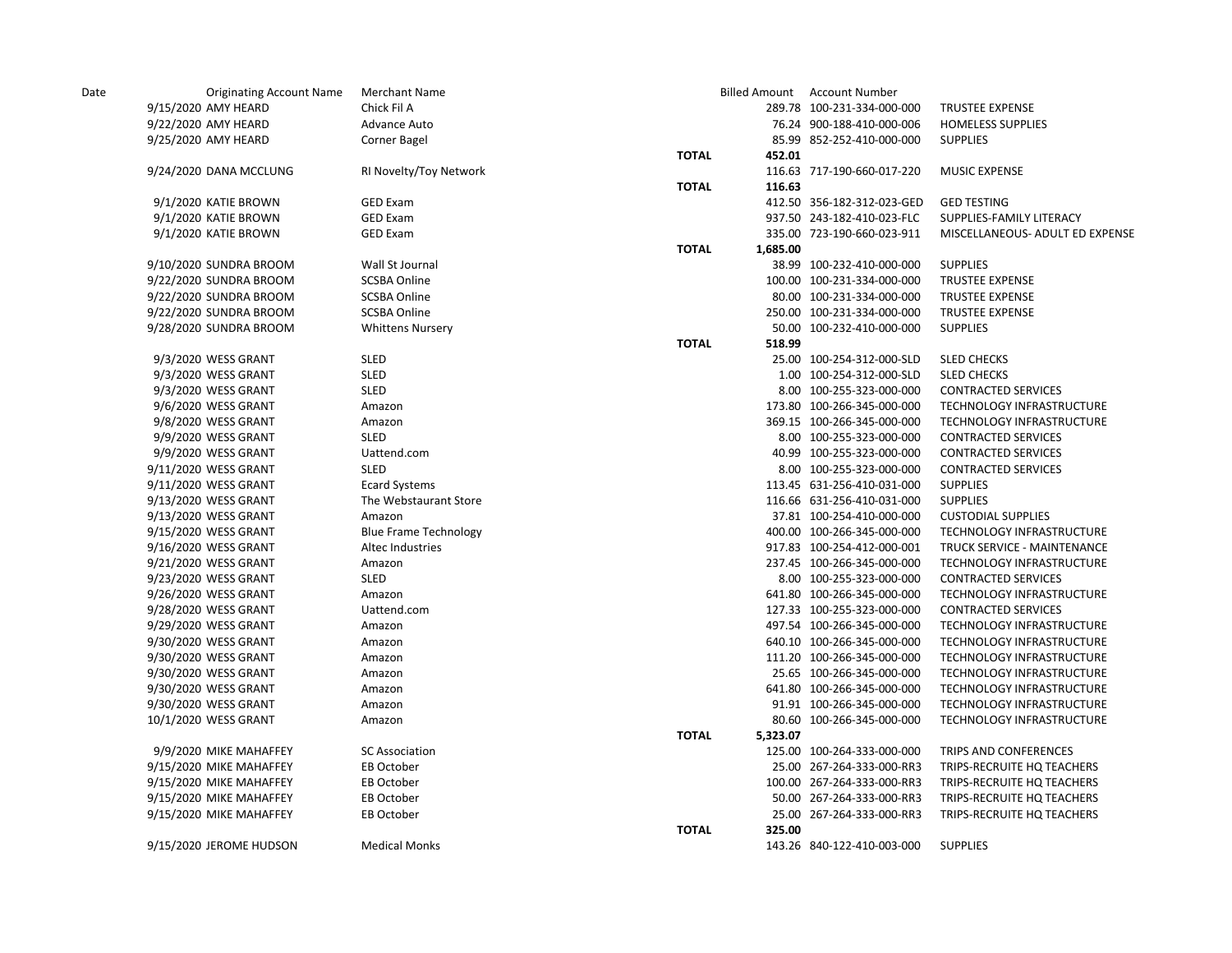| Date | <b>Originating Account Name</b> | <b>Merchant Name</b>         |              |          | <b>Billed Amount Account Number</b> |                                 |
|------|---------------------------------|------------------------------|--------------|----------|-------------------------------------|---------------------------------|
|      | 9/15/2020 AMY HEARD             | Chick Fil A                  |              |          | 289.78 100-231-334-000-000          | <b>TRUSTEE EXPENSE</b>          |
|      | 9/22/2020 AMY HEARD             | Advance Auto                 |              |          | 76.24 900-188-410-000-006           | <b>HOMELESS SUPPLIES</b>        |
|      | 9/25/2020 AMY HEARD             | Corner Bagel                 |              |          | 85.99 852-252-410-000-000           | <b>SUPPLIES</b>                 |
|      |                                 |                              | <b>TOTAL</b> | 452.01   |                                     |                                 |
|      | 9/24/2020 DANA MCCLUNG          | RI Novelty/Toy Network       |              |          | 116.63 717-190-660-017-220          | <b>MUSIC EXPENSE</b>            |
|      |                                 |                              | <b>TOTAL</b> | 116.63   |                                     |                                 |
|      | 9/1/2020 KATIE BROWN            | <b>GED Exam</b>              |              |          | 412.50 356-182-312-023-GED          | <b>GED TESTING</b>              |
|      | 9/1/2020 KATIE BROWN            | <b>GED Exam</b>              |              |          | 937.50 243-182-410-023-FLC          | SUPPLIES-FAMILY LITERACY        |
|      | 9/1/2020 KATIE BROWN            | <b>GED Exam</b>              |              |          | 335.00 723-190-660-023-911          | MISCELLANEOUS- ADULT ED EXPENSE |
|      |                                 |                              | <b>TOTAL</b> | 1,685.00 |                                     |                                 |
|      | 9/10/2020 SUNDRA BROOM          | Wall St Journal              |              |          | 38.99 100-232-410-000-000           | <b>SUPPLIES</b>                 |
|      | 9/22/2020 SUNDRA BROOM          | <b>SCSBA Online</b>          |              |          | 100.00 100-231-334-000-000          | <b>TRUSTEE EXPENSE</b>          |
|      | 9/22/2020 SUNDRA BROOM          | <b>SCSBA Online</b>          |              |          | 80.00 100-231-334-000-000           | <b>TRUSTEE EXPENSE</b>          |
|      | 9/22/2020 SUNDRA BROOM          | <b>SCSBA Online</b>          |              |          | 250.00 100-231-334-000-000          | TRUSTEE EXPENSE                 |
|      | 9/28/2020 SUNDRA BROOM          | <b>Whittens Nursery</b>      |              |          | 50.00 100-232-410-000-000           | <b>SUPPLIES</b>                 |
|      |                                 |                              | <b>TOTAL</b> | 518.99   |                                     |                                 |
|      | 9/3/2020 WESS GRANT             | SLED                         |              |          | 25.00 100-254-312-000-SLD           | <b>SLED CHECKS</b>              |
|      | 9/3/2020 WESS GRANT             | <b>SLED</b>                  |              |          | 1.00 100-254-312-000-SLD            | <b>SLED CHECKS</b>              |
|      | 9/3/2020 WESS GRANT             | SLED                         |              |          | 8.00 100-255-323-000-000            | <b>CONTRACTED SERVICES</b>      |
|      | 9/6/2020 WESS GRANT             | Amazon                       |              |          | 173.80 100-266-345-000-000          | TECHNOLOGY INFRASTRUCTURE       |
|      | 9/8/2020 WESS GRANT             | Amazon                       |              |          | 369.15 100-266-345-000-000          | TECHNOLOGY INFRASTRUCTURE       |
|      | 9/9/2020 WESS GRANT             | <b>SLED</b>                  |              |          | 8.00 100-255-323-000-000            | <b>CONTRACTED SERVICES</b>      |
|      | 9/9/2020 WESS GRANT             | Uattend.com                  |              |          | 40.99 100-255-323-000-000           | <b>CONTRACTED SERVICES</b>      |
|      | 9/11/2020 WESS GRANT            | <b>SLED</b>                  |              |          | 8.00 100-255-323-000-000            | <b>CONTRACTED SERVICES</b>      |
|      | 9/11/2020 WESS GRANT            | <b>Ecard Systems</b>         |              |          | 113.45 631-256-410-031-000          | <b>SUPPLIES</b>                 |
|      | 9/13/2020 WESS GRANT            | The Webstaurant Store        |              |          | 116.66 631-256-410-031-000          | <b>SUPPLIES</b>                 |
|      | 9/13/2020 WESS GRANT            | Amazon                       |              |          | 37.81 100-254-410-000-000           | <b>CUSTODIAL SUPPLIES</b>       |
|      | 9/15/2020 WESS GRANT            | <b>Blue Frame Technology</b> |              |          | 400.00 100-266-345-000-000          | TECHNOLOGY INFRASTRUCTURE       |
|      | 9/16/2020 WESS GRANT            | Altec Industries             |              |          | 917.83 100-254-412-000-001          | TRUCK SERVICE - MAINTENANCE     |
|      | 9/21/2020 WESS GRANT            | Amazon                       |              |          | 237.45 100-266-345-000-000          | TECHNOLOGY INFRASTRUCTURE       |
|      | 9/23/2020 WESS GRANT            | <b>SLED</b>                  |              |          | 8.00 100-255-323-000-000            | <b>CONTRACTED SERVICES</b>      |
|      | 9/26/2020 WESS GRANT            | Amazon                       |              |          | 641.80 100-266-345-000-000          | TECHNOLOGY INFRASTRUCTURE       |
|      | 9/28/2020 WESS GRANT            | Uattend.com                  |              |          | 127.33 100-255-323-000-000          | <b>CONTRACTED SERVICES</b>      |
|      | 9/29/2020 WESS GRANT            | Amazon                       |              |          | 497.54 100-266-345-000-000          | TECHNOLOGY INFRASTRUCTURE       |
|      | 9/30/2020 WESS GRANT            | Amazon                       |              |          | 640.10 100-266-345-000-000          | TECHNOLOGY INFRASTRUCTURE       |
|      | 9/30/2020 WESS GRANT            | Amazon                       |              |          | 111.20 100-266-345-000-000          | TECHNOLOGY INFRASTRUCTURE       |
|      | 9/30/2020 WESS GRANT            | Amazon                       |              |          | 25.65 100-266-345-000-000           | TECHNOLOGY INFRASTRUCTURE       |
|      | 9/30/2020 WESS GRANT            | Amazon                       |              |          | 641.80 100-266-345-000-000          | TECHNOLOGY INFRASTRUCTURE       |
|      | 9/30/2020 WESS GRANT            | Amazon                       |              |          | 91.91 100-266-345-000-000           | TECHNOLOGY INFRASTRUCTURE       |
|      | 10/1/2020 WESS GRANT            | Amazon                       |              |          | 80.60 100-266-345-000-000           | TECHNOLOGY INFRASTRUCTURE       |
|      |                                 |                              | <b>TOTAL</b> | 5,323.07 |                                     |                                 |
|      | 9/9/2020 MIKE MAHAFFEY          | <b>SC Association</b>        |              |          | 125.00 100-264-333-000-000          | TRIPS AND CONFERENCES           |
|      | 9/15/2020 MIKE MAHAFFEY         | EB October                   |              |          | 25.00 267-264-333-000-RR3           | TRIPS-RECRUITE HQ TEACHERS      |
|      | 9/15/2020 MIKE MAHAFFEY         | EB October                   |              |          | 100.00 267-264-333-000-RR3          | TRIPS-RECRUITE HQ TEACHERS      |
|      | 9/15/2020 MIKE MAHAFFEY         | EB October                   |              |          | 50.00 267-264-333-000-RR3           | TRIPS-RECRUITE HQ TEACHERS      |
|      | 9/15/2020 MIKE MAHAFFEY         | EB October                   |              |          | 25.00 267-264-333-000-RR3           | TRIPS-RECRUITE HQ TEACHERS      |
|      |                                 |                              | <b>TOTAL</b> | 325.00   |                                     |                                 |
|      | 9/15/2020 JEROME HUDSON         | <b>Medical Monks</b>         |              |          | 143.26 840-122-410-003-000          | <b>SUPPLIES</b>                 |
|      |                                 |                              |              |          |                                     |                                 |